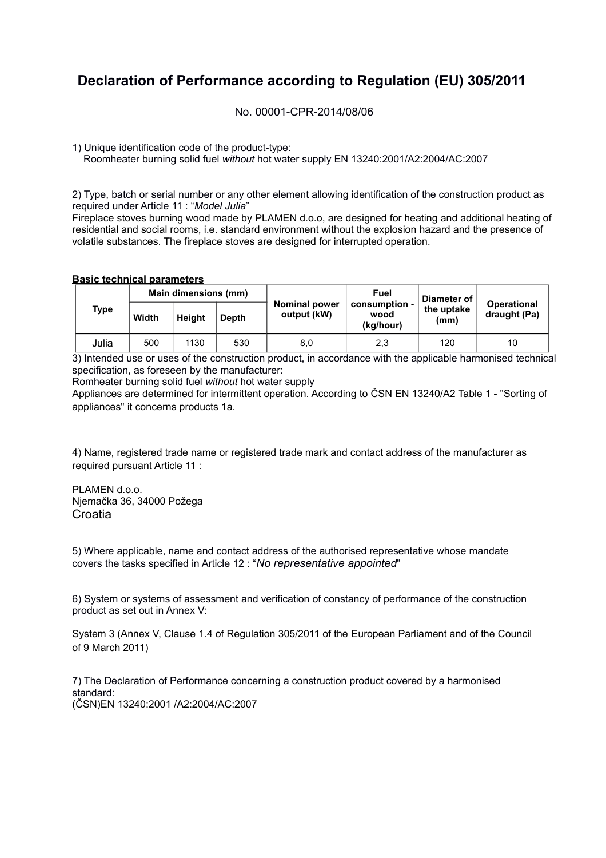## **Declaration of Performance according to Regulation (EU) 305/2011**

No. 00001-CPR-2014/08/06

1) Unique identification code of the product-type:

Roomheater burning solid fuel *without* hot water supply EN 13240:2001/A2:2004/AC:2007

2) Type, batch or serial number or any other element allowing identification of the construction product as required under Article 11 : "*Model Julia*"

Fireplace stoves burning wood made by PLAMEN d.o.o, are designed for heating and additional heating of residential and social rooms, i.e. standard environment without the explosion hazard and the presence of volatile substances. The fireplace stoves are designed for interrupted operation.

## **Basic technical parameters**

|  | <b>Type</b> | Main dimensions (mm) |               |       |                                     | Fuel                               | Diameter of        |                                    |  |
|--|-------------|----------------------|---------------|-------|-------------------------------------|------------------------------------|--------------------|------------------------------------|--|
|  |             | Width                | <b>Height</b> | Depth | <b>Nominal power</b><br>output (kW) | consumption -<br>wood<br>(kg/hour) | the uptake<br>(mm) | <b>Operational</b><br>draught (Pa) |  |
|  | Julia       | 500                  | 1130          | 530   | 8,0                                 | 2,3                                | 120                | 10                                 |  |

3) Intended use or uses of the construction product, in accordance with the applicable harmonised technical specification, as foreseen by the manufacturer:

Romheater burning solid fuel *without* hot water supply

Appliances are determined for intermittent operation. According to ČSN EN 13240/A2 Table 1 - "Sorting of appliances" it concerns products 1a.

4) Name, registered trade name or registered trade mark and contact address of the manufacturer as required pursuant Article 11 :

PLAMEN d.o.o. Njemačka 36, 34000 Požega **Croatia** 

5) Where applicable, name and contact address of the authorised representative whose mandate covers the tasks specified in Article 12 : "*No representative appointed*"

6) System or systems of assessment and verification of constancy of performance of the construction product as set out in Annex V:

System 3 (Annex V, Clause 1.4 of Regulation 305/2011 of the European Parliament and of the Council of 9 March 2011)

7) The Declaration of Performance concerning a construction product covered by a harmonised standard: (ČSN)EN 13240:2001 /A2:2004/AC:2007